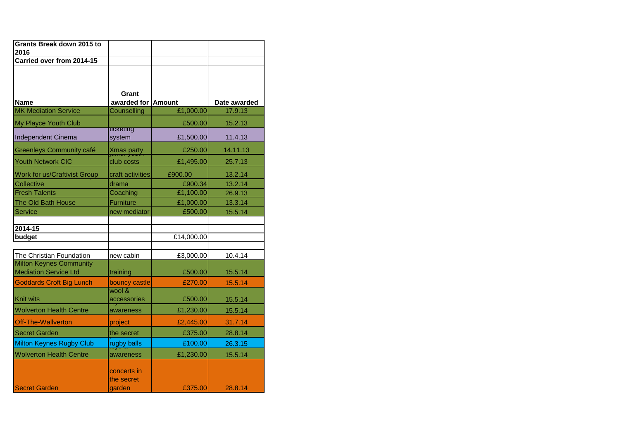| <b>Grants Break down 2015 to</b>                               |                                     |            |              |
|----------------------------------------------------------------|-------------------------------------|------------|--------------|
| 2016                                                           |                                     |            |              |
| Carried over from 2014-15                                      |                                     |            |              |
| <b>Name</b>                                                    | Grant<br>awarded for Amount         |            | Date awarded |
| <b>MK Mediation Service</b>                                    | <b>Counselling</b>                  | £1,000.00  | 17.9.13      |
| My Playce Youth Club                                           |                                     | £500.00    | 15.2.13      |
| Independent Cinema                                             | ticketing<br>system                 | £1,500.00  | 11.4.13      |
| <b>Greenleys Community café</b>                                | <b>Xmas party</b>                   | £250.00    | 14.11.13     |
| Youth Network CIC                                              | club costs                          | £1,495.00  | 25.7.13      |
| Work for us/Craftivist Group                                   | craft activities                    | £900.00    | 13.2.14      |
| Collective                                                     | drama                               | £900.34    | 13.2.14      |
| <b>Fresh Talents</b>                                           | Coaching                            | £1,100.00  | 26.9.13      |
| The Old Bath House                                             | Furniture                           | £1,000.00  | 13.3.14      |
| Service                                                        | new mediator                        | £500.00    | 15.5.14      |
|                                                                |                                     |            |              |
| $2014 - 15$<br>budget                                          |                                     |            |              |
|                                                                |                                     | £14,000.00 |              |
| The Christian Foundation                                       | new cabin                           | £3,000.00  | 10.4.14      |
| <b>Milton Keynes Community</b><br><b>Mediation Service Ltd</b> | training                            | £500.00    | 15.5.14      |
| Goddards Croft Big Lunch                                       | bouncy castle                       | £270.00    | 15.5.14      |
| Knit wits                                                      | wool &<br>accessories               | £500.00    | 15.5.14      |
| <b>Wolverton Health Centre</b>                                 | awareness                           | £1,230.00  | 15.5.14      |
| <b>Off-The-Wallverton</b>                                      | project                             | £2,445.00  | 31.7.14      |
| <b>Secret Garden</b>                                           | the secret                          | £375.00    | 28.8.14      |
| <b>Milton Keynes Rugby Club</b>                                | rugby balls                         | £100.00    | 26.3.15      |
| <b>Wolverton Health Centre</b>                                 | awareness                           | £1,230.00  | 15.5.14      |
| <b>Secret Garden</b>                                           | concerts in<br>the secret<br>aarden | £375.00    | 28.8.14      |